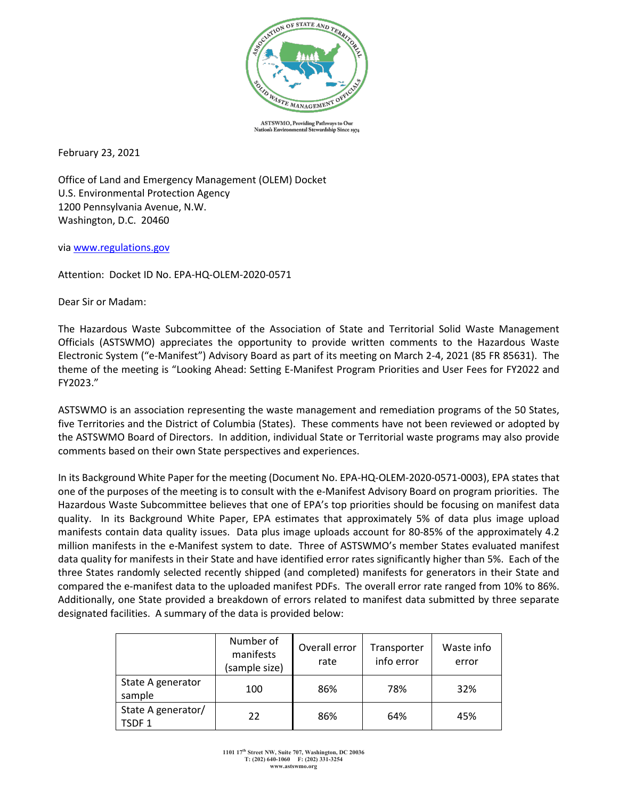

ASTSWMO, Providing Pathways to Our wardship Since 1974 **Nation's Envir** ntal St

February 23, 2021

Office of Land and Emergency Management (OLEM) Docket U.S. Environmental Protection Agency 1200 Pennsylvania Avenue, N.W. Washington, D.C. 20460

via [www.regulations.gov](http://www.regulations.gov/)

Attention: Docket ID No. EPA-HQ-OLEM-2020-0571

Dear Sir or Madam:

The Hazardous Waste Subcommittee of the Association of State and Territorial Solid Waste Management Officials (ASTSWMO) appreciates the opportunity to provide written comments to the Hazardous Waste Electronic System ("e-Manifest") Advisory Board as part of its meeting on March 2-4, 2021 (85 FR 85631). The theme of the meeting is "Looking Ahead: Setting E-Manifest Program Priorities and User Fees for FY2022 and FY2023."

ASTSWMO is an association representing the waste management and remediation programs of the 50 States, five Territories and the District of Columbia (States). These comments have not been reviewed or adopted by the ASTSWMO Board of Directors. In addition, individual State or Territorial waste programs may also provide comments based on their own State perspectives and experiences.

In its Background White Paper for the meeting (Document No. EPA-HQ-OLEM-2020-0571-0003), EPA states that one of the purposes of the meeting is to consult with the e-Manifest Advisory Board on program priorities. The Hazardous Waste Subcommittee believes that one of EPA's top priorities should be focusing on manifest data quality. In its Background White Paper, EPA estimates that approximately 5% of data plus image upload manifests contain data quality issues. Data plus image uploads account for 80-85% of the approximately 4.2 million manifests in the e-Manifest system to date. Three of ASTSWMO's member States evaluated manifest data quality for manifests in their State and have identified error rates significantly higher than 5%. Each of the three States randomly selected recently shipped (and completed) manifests for generators in their State and compared the e-manifest data to the uploaded manifest PDFs. The overall error rate ranged from 10% to 86%. Additionally, one State provided a breakdown of errors related to manifest data submitted by three separate designated facilities. A summary of the data is provided below:

|                                         | Number of<br>manifests<br>(sample size) | Overall error<br>rate | Transporter<br>info error | Waste info<br>error |
|-----------------------------------------|-----------------------------------------|-----------------------|---------------------------|---------------------|
| State A generator<br>sample             | 100                                     | 86%                   | 78%                       | 32%                 |
| State A generator/<br>TSDF <sub>1</sub> | 22                                      | 86%                   | 64%                       | 45%                 |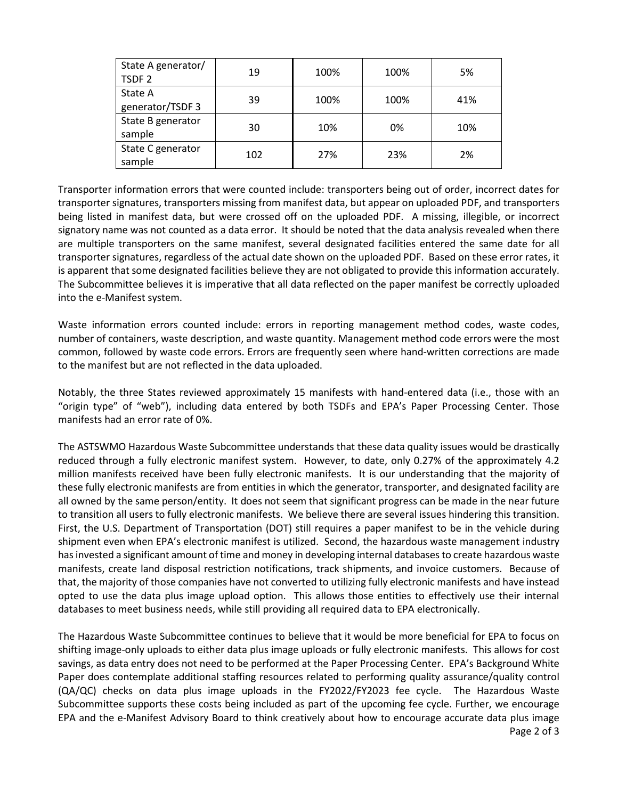| State A generator/<br>TSDF <sub>2</sub> | 19  | 100% | 100% | 5%  |
|-----------------------------------------|-----|------|------|-----|
| State A<br>generator/TSDF 3             | 39  | 100% | 100% | 41% |
| State B generator<br>sample             | 30  | 10%  | 0%   | 10% |
| State C generator<br>sample             | 102 | 27%  | 23%  | 2%  |

Transporter information errors that were counted include: transporters being out of order, incorrect dates for transporter signatures, transporters missing from manifest data, but appear on uploaded PDF, and transporters being listed in manifest data, but were crossed off on the uploaded PDF. A missing, illegible, or incorrect signatory name was not counted as a data error. It should be noted that the data analysis revealed when there are multiple transporters on the same manifest, several designated facilities entered the same date for all transporter signatures, regardless of the actual date shown on the uploaded PDF. Based on these error rates, it is apparent that some designated facilities believe they are not obligated to provide this information accurately. The Subcommittee believes it is imperative that all data reflected on the paper manifest be correctly uploaded into the e-Manifest system.

Waste information errors counted include: errors in reporting management method codes, waste codes, number of containers, waste description, and waste quantity. Management method code errors were the most common, followed by waste code errors. Errors are frequently seen where hand-written corrections are made to the manifest but are not reflected in the data uploaded.

Notably, the three States reviewed approximately 15 manifests with hand-entered data (i.e., those with an "origin type" of "web"), including data entered by both TSDFs and EPA's Paper Processing Center. Those manifests had an error rate of 0%.

The ASTSWMO Hazardous Waste Subcommittee understands that these data quality issues would be drastically reduced through a fully electronic manifest system. However, to date, only 0.27% of the approximately 4.2 million manifests received have been fully electronic manifests. It is our understanding that the majority of these fully electronic manifests are from entities in which the generator, transporter, and designated facility are all owned by the same person/entity. It does not seem that significant progress can be made in the near future to transition all users to fully electronic manifests. We believe there are several issues hindering this transition. First, the U.S. Department of Transportation (DOT) still requires a paper manifest to be in the vehicle during shipment even when EPA's electronic manifest is utilized. Second, the hazardous waste management industry has invested a significant amount of time and money in developing internal databases to create hazardous waste manifests, create land disposal restriction notifications, track shipments, and invoice customers. Because of that, the majority of those companies have not converted to utilizing fully electronic manifests and have instead opted to use the data plus image upload option. This allows those entities to effectively use their internal databases to meet business needs, while still providing all required data to EPA electronically.

Page 2 of 3 The Hazardous Waste Subcommittee continues to believe that it would be more beneficial for EPA to focus on shifting image-only uploads to either data plus image uploads or fully electronic manifests. This allows for cost savings, as data entry does not need to be performed at the Paper Processing Center. EPA's Background White Paper does contemplate additional staffing resources related to performing quality assurance/quality control (QA/QC) checks on data plus image uploads in the FY2022/FY2023 fee cycle. The Hazardous Waste Subcommittee supports these costs being included as part of the upcoming fee cycle. Further, we encourage EPA and the e-Manifest Advisory Board to think creatively about how to encourage accurate data plus image